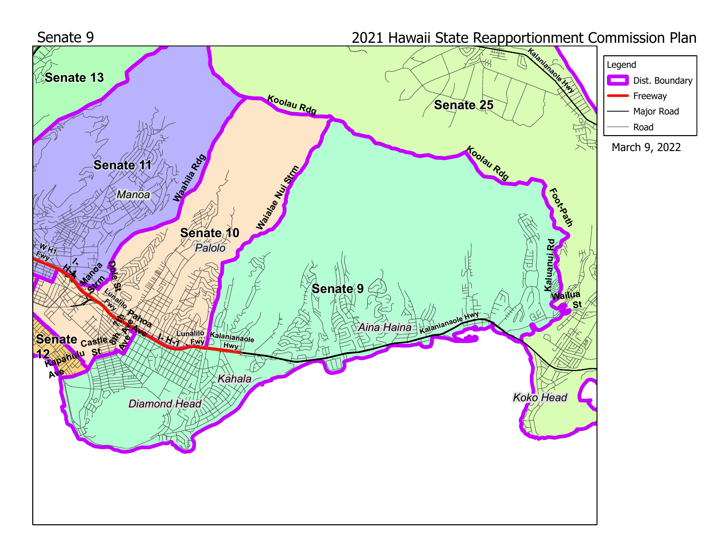